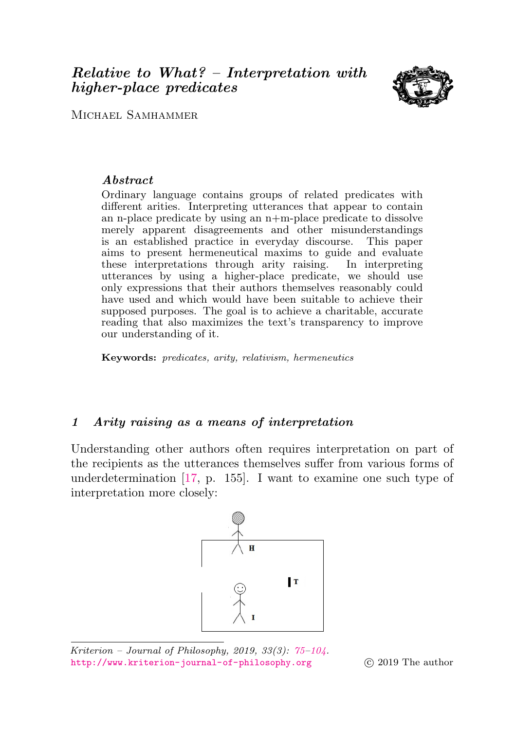# <span id="page-0-0"></span>Relative to What? – Interpretation with higher-place predicates



MICHAEL SAMHAMMER

## Abstract

Ordinary language contains groups of related predicates with different arities. Interpreting utterances that appear to contain an n-place predicate by using an n+m-place predicate to dissolve merely apparent disagreements and other misunderstandings is an established practice in everyday discourse. This paper aims to present hermeneutical maxims to guide and evaluate these interpretations through arity raising. In interpreting utterances by using a higher-place predicate, we should use only expressions that their authors themselves reasonably could have used and which would have been suitable to achieve their supposed purposes. The goal is to achieve a charitable, accurate reading that also maximizes the text's transparency to improve our understanding of it.

Keywords: predicates, arity, relativism, hermeneutics

## <span id="page-0-1"></span>1 Arity raising as a means of interpretation

Understanding other authors often requires interpretation on part of the recipients as the utterances themselves suffer from various forms of underdetermination [\[17,](#page-28-0) p. 155]. I want to examine one such type of interpretation more closely:



Kriterion – Journal of Philosophy, 2019, 33 $(3)$ : [75–](#page-0-0)10 $4$ . <http://www.kriterion-journal-of-philosophy.org> (c) 2019 The author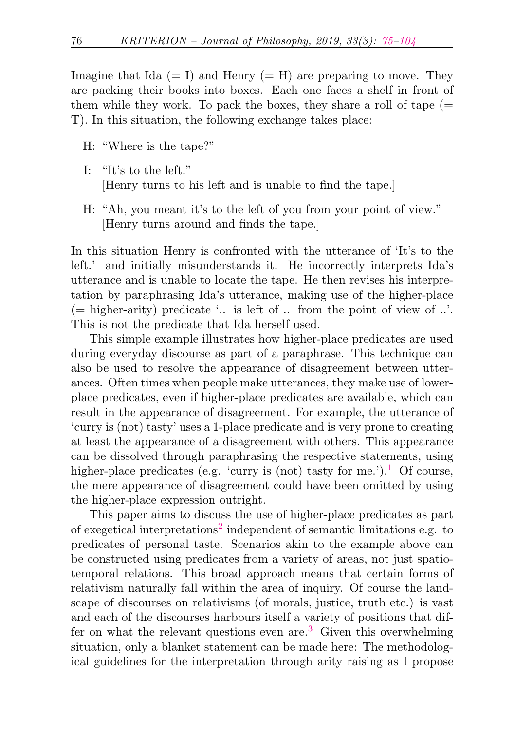Imagine that Ida  $(= I)$  and Henry  $(= H)$  are preparing to move. They are packing their books into boxes. Each one faces a shelf in front of them while they work. To pack the boxes, they share a roll of tape  $(=$ T). In this situation, the following exchange takes place:

- H: "Where is the tape?"
- I: "It's to the left." [Henry turns to his left and is unable to find the tape.]
- H: "Ah, you meant it's to the left of you from your point of view." [Henry turns around and finds the tape.]

In this situation Henry is confronted with the utterance of 'It's to the left.' and initially misunderstands it. He incorrectly interprets Ida's utterance and is unable to locate the tape. He then revises his interpretation by paraphrasing Ida's utterance, making use of the higher-place (= higher-arity) predicate  $\therefore$  is left of  $\therefore$  from the point of view of  $\therefore$ This is not the predicate that Ida herself used.

This simple example illustrates how higher-place predicates are used during everyday discourse as part of a paraphrase. This technique can also be used to resolve the appearance of disagreement between utterances. Often times when people make utterances, they make use of lowerplace predicates, even if higher-place predicates are available, which can result in the appearance of disagreement. For example, the utterance of 'curry is (not) tasty' uses a 1-place predicate and is very prone to creating at least the appearance of a disagreement with others. This appearance can be dissolved through paraphrasing the respective statements, using higher-place predicates (e.g. 'curry is (not) tasty for me.').<sup>[1](#page-24-0)</sup> Of course, the mere appearance of disagreement could have been omitted by using the higher-place expression outright.

<span id="page-1-2"></span><span id="page-1-1"></span><span id="page-1-0"></span>This paper aims to discuss the use of higher-place predicates as part of exegetical interpretations<sup>[2](#page-24-1)</sup> independent of semantic limitations e.g. to predicates of personal taste. Scenarios akin to the example above can be constructed using predicates from a variety of areas, not just spatiotemporal relations. This broad approach means that certain forms of relativism naturally fall within the area of inquiry. Of course the landscape of discourses on relativisms (of morals, justice, truth etc.) is vast and each of the discourses harbours itself a variety of positions that dif-fer on what the relevant questions even are.<sup>[3](#page-24-2)</sup> Given this overwhelming situation, only a blanket statement can be made here: The methodological guidelines for the interpretation through arity raising as I propose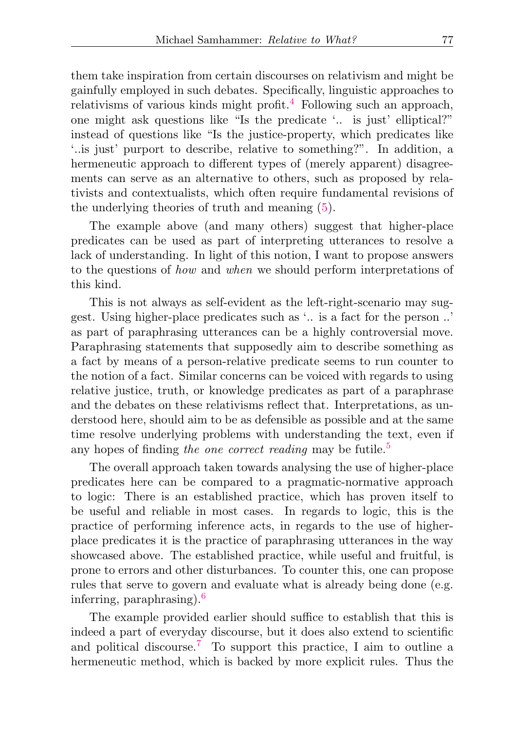<span id="page-2-0"></span>them take inspiration from certain discourses on relativism and might be gainfully employed in such debates. Specifically, linguistic approaches to relativisms of various kinds might profit.<sup>[4](#page-24-3)</sup> Following such an approach, one might ask questions like "Is the predicate '.. is just' elliptical?" instead of questions like "Is the justice-property, which predicates like '..is just' purport to describe, relative to something?". In addition, a hermeneutic approach to different types of (merely apparent) disagreements can serve as an alternative to others, such as proposed by relativists and contextualists, which often require fundamental revisions of the underlying theories of truth and meaning [\(5\)](#page-18-0).

The example above (and many others) suggest that higher-place predicates can be used as part of interpreting utterances to resolve a lack of understanding. In light of this notion, I want to propose answers to the questions of how and when we should perform interpretations of this kind.

This is not always as self-evident as the left-right-scenario may suggest. Using higher-place predicates such as '.. is a fact for the person ..' as part of paraphrasing utterances can be a highly controversial move. Paraphrasing statements that supposedly aim to describe something as a fact by means of a person-relative predicate seems to run counter to the notion of a fact. Similar concerns can be voiced with regards to using relative justice, truth, or knowledge predicates as part of a paraphrase and the debates on these relativisms reflect that. Interpretations, as understood here, should aim to be as defensible as possible and at the same time resolve underlying problems with understanding the text, even if any hopes of finding the one correct reading may be futile.<sup>[5](#page-24-4)</sup>

<span id="page-2-1"></span>The overall approach taken towards analysing the use of higher-place predicates here can be compared to a pragmatic-normative approach to logic: There is an established practice, which has proven itself to be useful and reliable in most cases. In regards to logic, this is the practice of performing inference acts, in regards to the use of higherplace predicates it is the practice of paraphrasing utterances in the way showcased above. The established practice, while useful and fruitful, is prone to errors and other disturbances. To counter this, one can propose rules that serve to govern and evaluate what is already being done (e.g. inferring, paraphrasing).[6](#page-24-5)

<span id="page-2-3"></span><span id="page-2-2"></span>The example provided earlier should suffice to establish that this is indeed a part of everyday discourse, but it does also extend to scientific and political discourse.<sup>[7](#page-24-6)</sup> To support this practice, I aim to outline a hermeneutic method, which is backed by more explicit rules. Thus the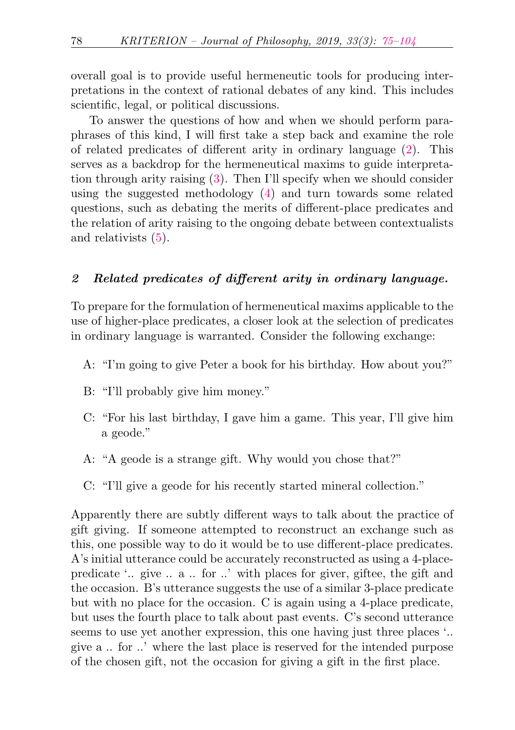overall goal is to provide useful hermeneutic tools for producing interpretations in the context of rational debates of any kind. This includes scientific, legal, or political discussions.

To answer the questions of how and when we should perform paraphrases of this kind, I will first take a step back and examine the role of related predicates of different arity in ordinary language [\(2\)](#page-3-0). This serves as a backdrop for the hermeneutical maxims to guide interpretation through arity raising [\(3\)](#page-6-0). Then I'll specify when we should consider using the suggested methodology [\(4\)](#page-14-0) and turn towards some related questions, such as debating the merits of different-place predicates and the relation of arity raising to the ongoing debate between contextualists and relativists [\(5\)](#page-18-0).

## <span id="page-3-0"></span>2 Related predicates of different arity in ordinary language.

To prepare for the formulation of hermeneutical maxims applicable to the use of higher-place predicates, a closer look at the selection of predicates in ordinary language is warranted. Consider the following exchange:

- A: "I'm going to give Peter a book for his birthday. How about you?"
- B: "I'll probably give him money."
- C: "For his last birthday, I gave him a game. This year, I'll give him a geode."
- A: "A geode is a strange gift. Why would you chose that?"
- C: "I'll give a geode for his recently started mineral collection."

Apparently there are subtly different ways to talk about the practice of gift giving. If someone attempted to reconstruct an exchange such as this, one possible way to do it would be to use different-place predicates. A's initial utterance could be accurately reconstructed as using a 4-placepredicate '.. give .. a .. for ..' with places for giver, giftee, the gift and the occasion. B's utterance suggests the use of a similar 3-place predicate but with no place for the occasion. C is again using a 4-place predicate, but uses the fourth place to talk about past events. C's second utterance seems to use yet another expression, this one having just three places '.. give a .. for ..' where the last place is reserved for the intended purpose of the chosen gift, not the occasion for giving a gift in the first place.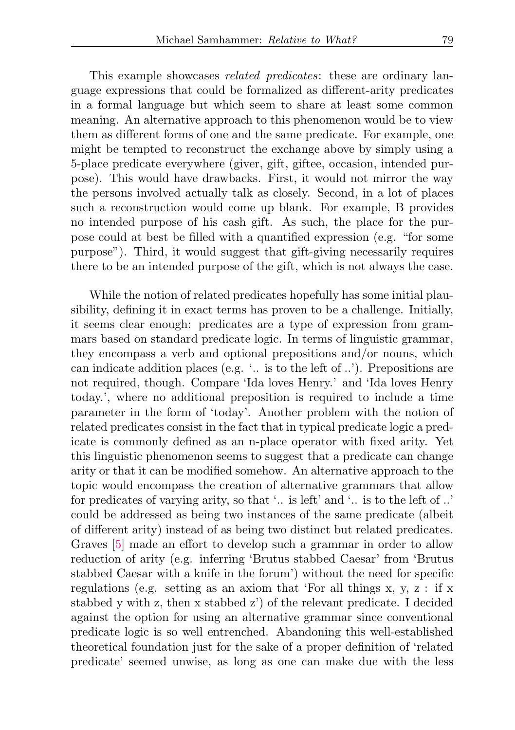This example showcases *related predicates*: these are ordinary language expressions that could be formalized as different-arity predicates in a formal language but which seem to share at least some common meaning. An alternative approach to this phenomenon would be to view them as different forms of one and the same predicate. For example, one might be tempted to reconstruct the exchange above by simply using a 5-place predicate everywhere (giver, gift, giftee, occasion, intended purpose). This would have drawbacks. First, it would not mirror the way the persons involved actually talk as closely. Second, in a lot of places such a reconstruction would come up blank. For example, B provides no intended purpose of his cash gift. As such, the place for the purpose could at best be filled with a quantified expression (e.g. "for some purpose"). Third, it would suggest that gift-giving necessarily requires there to be an intended purpose of the gift, which is not always the case.

While the notion of related predicates hopefully has some initial plausibility, defining it in exact terms has proven to be a challenge. Initially, it seems clear enough: predicates are a type of expression from grammars based on standard predicate logic. In terms of linguistic grammar, they encompass a verb and optional prepositions and/or nouns, which can indicate addition places (e.g. '.. is to the left of ..'). Prepositions are not required, though. Compare 'Ida loves Henry.' and 'Ida loves Henry today.', where no additional preposition is required to include a time parameter in the form of 'today'. Another problem with the notion of related predicates consist in the fact that in typical predicate logic a predicate is commonly defined as an n-place operator with fixed arity. Yet this linguistic phenomenon seems to suggest that a predicate can change arity or that it can be modified somehow. An alternative approach to the topic would encompass the creation of alternative grammars that allow for predicates of varying arity, so that '.. is left' and '.. is to the left of ..' could be addressed as being two instances of the same predicate (albeit of different arity) instead of as being two distinct but related predicates. Graves [\[5\]](#page-27-0) made an effort to develop such a grammar in order to allow reduction of arity (e.g. inferring 'Brutus stabbed Caesar' from 'Brutus stabbed Caesar with a knife in the forum') without the need for specific regulations (e.g. setting as an axiom that 'For all things x, y, z : if x stabbed y with z, then x stabbed z') of the relevant predicate. I decided against the option for using an alternative grammar since conventional predicate logic is so well entrenched. Abandoning this well-established theoretical foundation just for the sake of a proper definition of 'related predicate' seemed unwise, as long as one can make due with the less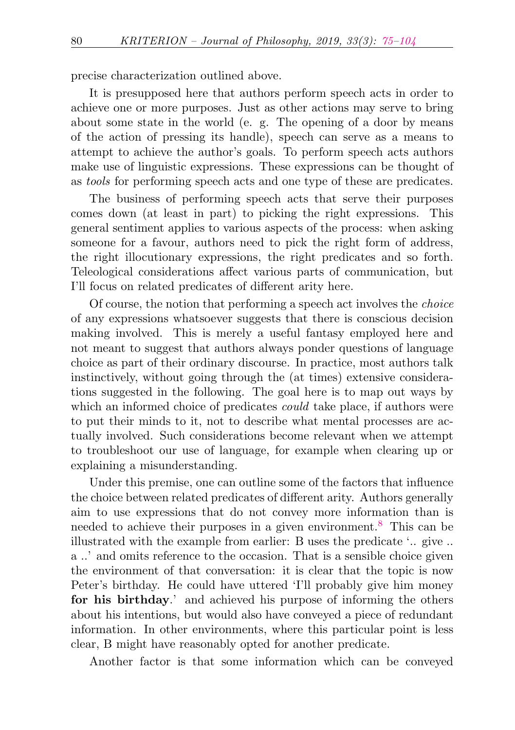precise characterization outlined above.

It is presupposed here that authors perform speech acts in order to achieve one or more purposes. Just as other actions may serve to bring about some state in the world (e. g. The opening of a door by means of the action of pressing its handle), speech can serve as a means to attempt to achieve the author's goals. To perform speech acts authors make use of linguistic expressions. These expressions can be thought of as tools for performing speech acts and one type of these are predicates.

The business of performing speech acts that serve their purposes comes down (at least in part) to picking the right expressions. This general sentiment applies to various aspects of the process: when asking someone for a favour, authors need to pick the right form of address, the right illocutionary expressions, the right predicates and so forth. Teleological considerations affect various parts of communication, but I'll focus on related predicates of different arity here.

Of course, the notion that performing a speech act involves the choice of any expressions whatsoever suggests that there is conscious decision making involved. This is merely a useful fantasy employed here and not meant to suggest that authors always ponder questions of language choice as part of their ordinary discourse. In practice, most authors talk instinctively, without going through the (at times) extensive considerations suggested in the following. The goal here is to map out ways by which an informed choice of predicates *could* take place, if authors were to put their minds to it, not to describe what mental processes are actually involved. Such considerations become relevant when we attempt to troubleshoot our use of language, for example when clearing up or explaining a misunderstanding.

<span id="page-5-0"></span>Under this premise, one can outline some of the factors that influence the choice between related predicates of different arity. Authors generally aim to use expressions that do not convey more information than is needed to achieve their purposes in a given environment.[8](#page-24-7) This can be illustrated with the example from earlier: B uses the predicate '.. give .. a ..' and omits reference to the occasion. That is a sensible choice given the environment of that conversation: it is clear that the topic is now Peter's birthday. He could have uttered 'I'll probably give him money for his birthday.' and achieved his purpose of informing the others about his intentions, but would also have conveyed a piece of redundant information. In other environments, where this particular point is less clear, B might have reasonably opted for another predicate.

Another factor is that some information which can be conveyed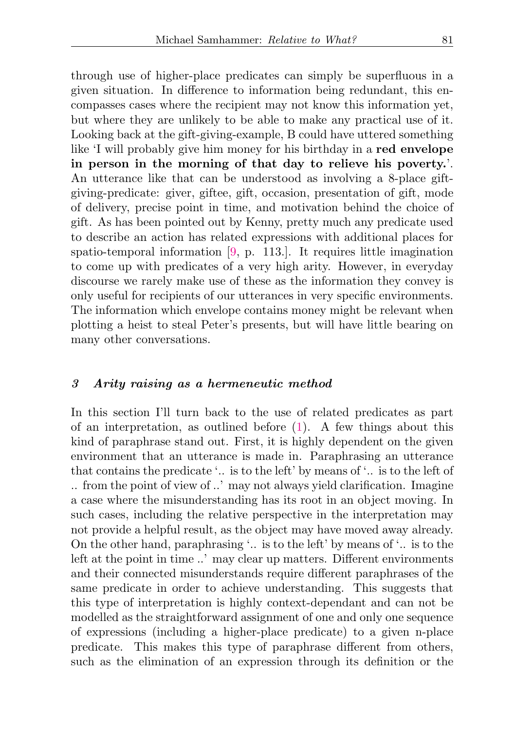through use of higher-place predicates can simply be superfluous in a given situation. In difference to information being redundant, this encompasses cases where the recipient may not know this information yet, but where they are unlikely to be able to make any practical use of it. Looking back at the gift-giving-example, B could have uttered something like 'I will probably give him money for his birthday in a red envelope in person in the morning of that day to relieve his poverty.'. An utterance like that can be understood as involving a 8-place giftgiving-predicate: giver, giftee, gift, occasion, presentation of gift, mode of delivery, precise point in time, and motivation behind the choice of gift. As has been pointed out by Kenny, pretty much any predicate used to describe an action has related expressions with additional places for spatio-temporal information [\[9,](#page-27-1) p. 113.]. It requires little imagination to come up with predicates of a very high arity. However, in everyday discourse we rarely make use of these as the information they convey is only useful for recipients of our utterances in very specific environments. The information which envelope contains money might be relevant when plotting a heist to steal Peter's presents, but will have little bearing on many other conversations.

### <span id="page-6-0"></span>3 Arity raising as a hermeneutic method

In this section I'll turn back to the use of related predicates as part of an interpretation, as outlined before  $(1)$ . A few things about this kind of paraphrase stand out. First, it is highly dependent on the given environment that an utterance is made in. Paraphrasing an utterance that contains the predicate '.. is to the left' by means of '.. is to the left of .. from the point of view of ..' may not always yield clarification. Imagine a case where the misunderstanding has its root in an object moving. In such cases, including the relative perspective in the interpretation may not provide a helpful result, as the object may have moved away already. On the other hand, paraphrasing '.. is to the left' by means of '.. is to the left at the point in time ..' may clear up matters. Different environments and their connected misunderstands require different paraphrases of the same predicate in order to achieve understanding. This suggests that this type of interpretation is highly context-dependant and can not be modelled as the straightforward assignment of one and only one sequence of expressions (including a higher-place predicate) to a given n-place predicate. This makes this type of paraphrase different from others, such as the elimination of an expression through its definition or the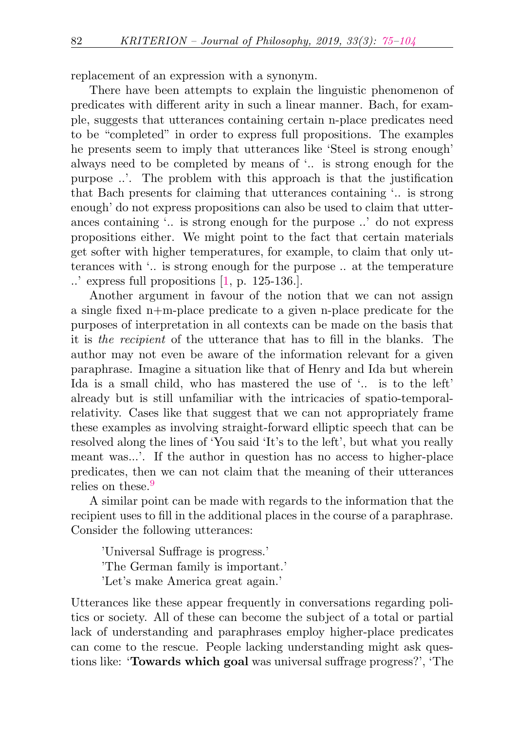replacement of an expression with a synonym.

There have been attempts to explain the linguistic phenomenon of predicates with different arity in such a linear manner. Bach, for example, suggests that utterances containing certain n-place predicates need to be "completed" in order to express full propositions. The examples he presents seem to imply that utterances like 'Steel is strong enough' always need to be completed by means of '.. is strong enough for the purpose ..'. The problem with this approach is that the justification that Bach presents for claiming that utterances containing '.. is strong enough' do not express propositions can also be used to claim that utterances containing '.. is strong enough for the purpose ..' do not express propositions either. We might point to the fact that certain materials get softer with higher temperatures, for example, to claim that only utterances with '.. is strong enough for the purpose .. at the temperature ..' express full propositions [\[1,](#page-26-1) p. 125-136.].

Another argument in favour of the notion that we can not assign a single fixed n+m-place predicate to a given n-place predicate for the purposes of interpretation in all contexts can be made on the basis that it is the recipient of the utterance that has to fill in the blanks. The author may not even be aware of the information relevant for a given paraphrase. Imagine a situation like that of Henry and Ida but wherein Ida is a small child, who has mastered the use of '.. is to the left' already but is still unfamiliar with the intricacies of spatio-temporalrelativity. Cases like that suggest that we can not appropriately frame these examples as involving straight-forward elliptic speech that can be resolved along the lines of 'You said 'It's to the left', but what you really meant was...'. If the author in question has no access to higher-place predicates, then we can not claim that the meaning of their utterances relies on these.<sup>[9](#page-24-8)</sup>

<span id="page-7-0"></span>A similar point can be made with regards to the information that the recipient uses to fill in the additional places in the course of a paraphrase. Consider the following utterances:

'Universal Suffrage is progress.' 'The German family is important.' 'Let's make America great again.'

Utterances like these appear frequently in conversations regarding politics or society. All of these can become the subject of a total or partial lack of understanding and paraphrases employ higher-place predicates can come to the rescue. People lacking understanding might ask questions like: 'Towards which goal was universal suffrage progress?', 'The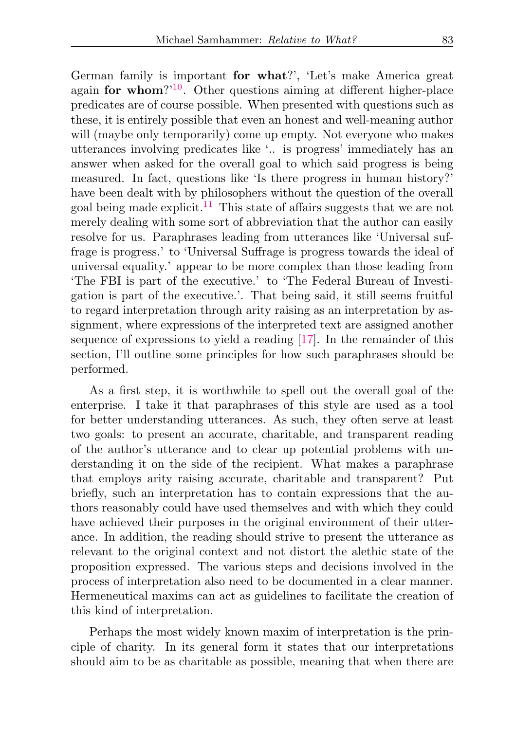<span id="page-8-1"></span><span id="page-8-0"></span>German family is important for what?', 'Let's make America great again for whom?'[10](#page-25-0). Other questions aiming at different higher-place predicates are of course possible. When presented with questions such as these, it is entirely possible that even an honest and well-meaning author will (maybe only temporarily) come up empty. Not everyone who makes utterances involving predicates like '.. is progress' immediately has an answer when asked for the overall goal to which said progress is being measured. In fact, questions like 'Is there progress in human history?' have been dealt with by philosophers without the question of the overall goal being made explicit.<sup>[11](#page-25-1)</sup> This state of affairs suggests that we are not merely dealing with some sort of abbreviation that the author can easily resolve for us. Paraphrases leading from utterances like 'Universal suffrage is progress.' to 'Universal Suffrage is progress towards the ideal of universal equality.' appear to be more complex than those leading from 'The FBI is part of the executive.' to 'The Federal Bureau of Investigation is part of the executive.'. That being said, it still seems fruitful to regard interpretation through arity raising as an interpretation by assignment, where expressions of the interpreted text are assigned another sequence of expressions to yield a reading [\[17\]](#page-28-0). In the remainder of this section, I'll outline some principles for how such paraphrases should be performed.

As a first step, it is worthwhile to spell out the overall goal of the enterprise. I take it that paraphrases of this style are used as a tool for better understanding utterances. As such, they often serve at least two goals: to present an accurate, charitable, and transparent reading of the author's utterance and to clear up potential problems with understanding it on the side of the recipient. What makes a paraphrase that employs arity raising accurate, charitable and transparent? Put briefly, such an interpretation has to contain expressions that the authors reasonably could have used themselves and with which they could have achieved their purposes in the original environment of their utterance. In addition, the reading should strive to present the utterance as relevant to the original context and not distort the alethic state of the proposition expressed. The various steps and decisions involved in the process of interpretation also need to be documented in a clear manner. Hermeneutical maxims can act as guidelines to facilitate the creation of this kind of interpretation.

Perhaps the most widely known maxim of interpretation is the principle of charity. In its general form it states that our interpretations should aim to be as charitable as possible, meaning that when there are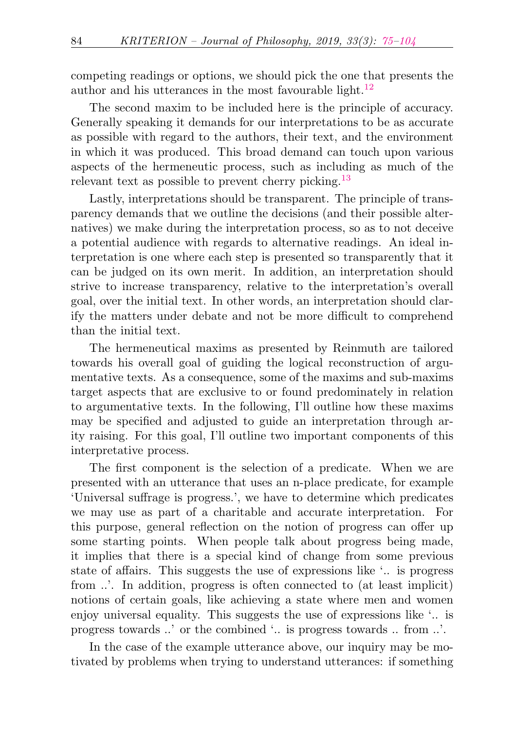<span id="page-9-0"></span>competing readings or options, we should pick the one that presents the author and his utterances in the most favourable light.<sup>[12](#page-25-2)</sup>

The second maxim to be included here is the principle of accuracy. Generally speaking it demands for our interpretations to be as accurate as possible with regard to the authors, their text, and the environment in which it was produced. This broad demand can touch upon various aspects of the hermeneutic process, such as including as much of the relevant text as possible to prevent cherry picking.<sup>[13](#page-25-3)</sup>

<span id="page-9-1"></span>Lastly, interpretations should be transparent. The principle of transparency demands that we outline the decisions (and their possible alternatives) we make during the interpretation process, so as to not deceive a potential audience with regards to alternative readings. An ideal interpretation is one where each step is presented so transparently that it can be judged on its own merit. In addition, an interpretation should strive to increase transparency, relative to the interpretation's overall goal, over the initial text. In other words, an interpretation should clarify the matters under debate and not be more difficult to comprehend than the initial text.

The hermeneutical maxims as presented by Reinmuth are tailored towards his overall goal of guiding the logical reconstruction of argumentative texts. As a consequence, some of the maxims and sub-maxims target aspects that are exclusive to or found predominately in relation to argumentative texts. In the following, I'll outline how these maxims may be specified and adjusted to guide an interpretation through arity raising. For this goal, I'll outline two important components of this interpretative process.

The first component is the selection of a predicate. When we are presented with an utterance that uses an n-place predicate, for example 'Universal suffrage is progress.', we have to determine which predicates we may use as part of a charitable and accurate interpretation. For this purpose, general reflection on the notion of progress can offer up some starting points. When people talk about progress being made, it implies that there is a special kind of change from some previous state of affairs. This suggests the use of expressions like '.. is progress from .... In addition, progress is often connected to (at least implicit) notions of certain goals, like achieving a state where men and women enjoy universal equality. This suggests the use of expressions like '.. is progress towards ..' or the combined '.. is progress towards .. from ..'.

In the case of the example utterance above, our inquiry may be motivated by problems when trying to understand utterances: if something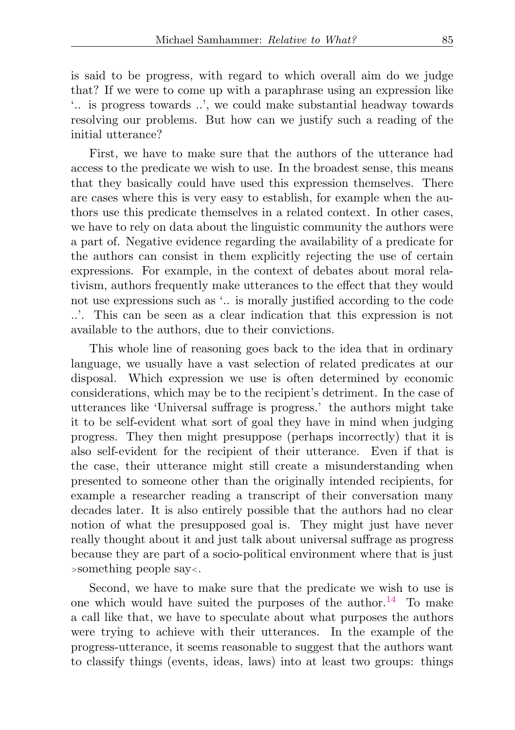is said to be progress, with regard to which overall aim do we judge that? If we were to come up with a paraphrase using an expression like '.. is progress towards ..', we could make substantial headway towards resolving our problems. But how can we justify such a reading of the initial utterance?

First, we have to make sure that the authors of the utterance had access to the predicate we wish to use. In the broadest sense, this means that they basically could have used this expression themselves. There are cases where this is very easy to establish, for example when the authors use this predicate themselves in a related context. In other cases, we have to rely on data about the linguistic community the authors were a part of. Negative evidence regarding the availability of a predicate for the authors can consist in them explicitly rejecting the use of certain expressions. For example, in the context of debates about moral relativism, authors frequently make utterances to the effect that they would not use expressions such as '.. is morally justified according to the code ..'. This can be seen as a clear indication that this expression is not available to the authors, due to their convictions.

This whole line of reasoning goes back to the idea that in ordinary language, we usually have a vast selection of related predicates at our disposal. Which expression we use is often determined by economic considerations, which may be to the recipient's detriment. In the case of utterances like 'Universal suffrage is progress.' the authors might take it to be self-evident what sort of goal they have in mind when judging progress. They then might presuppose (perhaps incorrectly) that it is also self-evident for the recipient of their utterance. Even if that is the case, their utterance might still create a misunderstanding when presented to someone other than the originally intended recipients, for example a researcher reading a transcript of their conversation many decades later. It is also entirely possible that the authors had no clear notion of what the presupposed goal is. They might just have never really thought about it and just talk about universal suffrage as progress because they are part of a socio-political environment where that is just <sup>&</sup>gt;something people say<.

<span id="page-10-0"></span>Second, we have to make sure that the predicate we wish to use is one which would have suited the purposes of the author.<sup>[14](#page-25-4)</sup> To make a call like that, we have to speculate about what purposes the authors were trying to achieve with their utterances. In the example of the progress-utterance, it seems reasonable to suggest that the authors want to classify things (events, ideas, laws) into at least two groups: things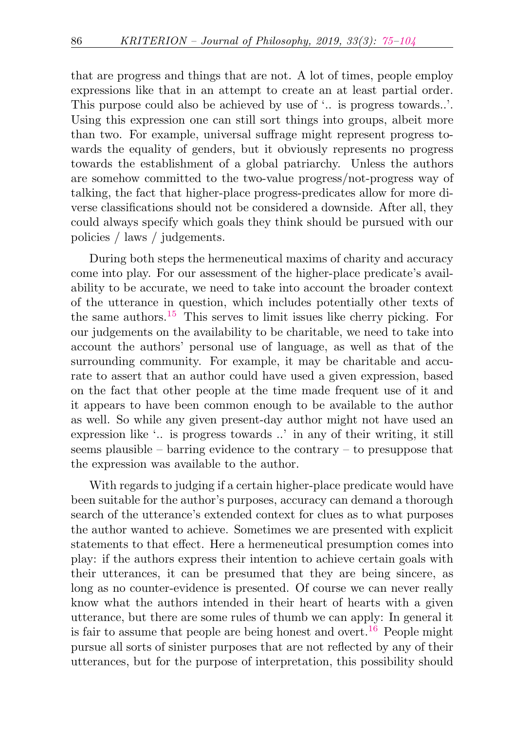that are progress and things that are not. A lot of times, people employ expressions like that in an attempt to create an at least partial order. This purpose could also be achieved by use of '.. is progress towards..'. Using this expression one can still sort things into groups, albeit more than two. For example, universal suffrage might represent progress towards the equality of genders, but it obviously represents no progress towards the establishment of a global patriarchy. Unless the authors are somehow committed to the two-value progress/not-progress way of talking, the fact that higher-place progress-predicates allow for more diverse classifications should not be considered a downside. After all, they could always specify which goals they think should be pursued with our policies / laws / judgements.

<span id="page-11-0"></span>During both steps the hermeneutical maxims of charity and accuracy come into play. For our assessment of the higher-place predicate's availability to be accurate, we need to take into account the broader context of the utterance in question, which includes potentially other texts of the same authors. $15$  This serves to limit issues like cherry picking. For our judgements on the availability to be charitable, we need to take into account the authors' personal use of language, as well as that of the surrounding community. For example, it may be charitable and accurate to assert that an author could have used a given expression, based on the fact that other people at the time made frequent use of it and it appears to have been common enough to be available to the author as well. So while any given present-day author might not have used an expression like '.. is progress towards ..' in any of their writing, it still seems plausible – barring evidence to the contrary – to presuppose that the expression was available to the author.

<span id="page-11-1"></span>With regards to judging if a certain higher-place predicate would have been suitable for the author's purposes, accuracy can demand a thorough search of the utterance's extended context for clues as to what purposes the author wanted to achieve. Sometimes we are presented with explicit statements to that effect. Here a hermeneutical presumption comes into play: if the authors express their intention to achieve certain goals with their utterances, it can be presumed that they are being sincere, as long as no counter-evidence is presented. Of course we can never really know what the authors intended in their heart of hearts with a given utterance, but there are some rules of thumb we can apply: In general it is fair to assume that people are being honest and overt.<sup>[16](#page-25-6)</sup> People might pursue all sorts of sinister purposes that are not reflected by any of their utterances, but for the purpose of interpretation, this possibility should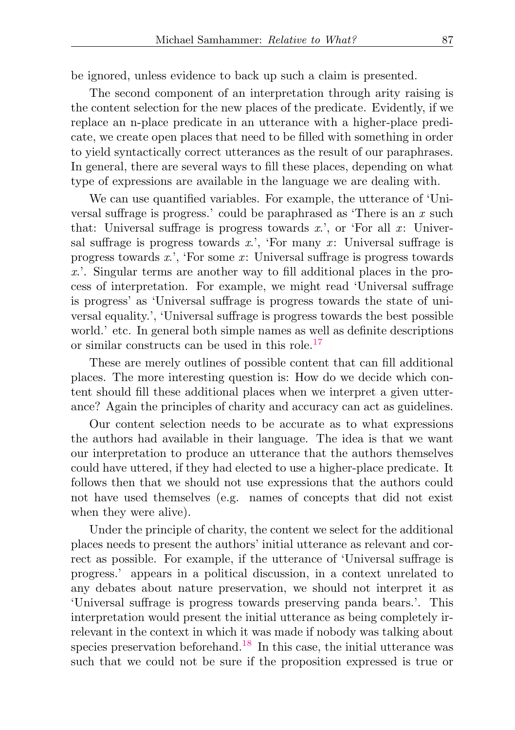be ignored, unless evidence to back up such a claim is presented.

The second component of an interpretation through arity raising is the content selection for the new places of the predicate. Evidently, if we replace an n-place predicate in an utterance with a higher-place predicate, we create open places that need to be filled with something in order to yield syntactically correct utterances as the result of our paraphrases. In general, there are several ways to fill these places, depending on what type of expressions are available in the language we are dealing with.

We can use quantified variables. For example, the utterance of 'Universal suffrage is progress.' could be paraphrased as 'There is an  $x$  such that: Universal suffrage is progress towards x.', or 'For all x: Universal suffrage is progress towards x.', 'For many x: Universal suffrage is progress towards  $x$ .', 'For some  $x$ : Universal suffrage is progress towards x.'. Singular terms are another way to fill additional places in the process of interpretation. For example, we might read 'Universal suffrage is progress' as 'Universal suffrage is progress towards the state of universal equality.', 'Universal suffrage is progress towards the best possible world.' etc. In general both simple names as well as definite descriptions or similar constructs can be used in this role.<sup>[17](#page-25-7)</sup>

<span id="page-12-0"></span>These are merely outlines of possible content that can fill additional places. The more interesting question is: How do we decide which content should fill these additional places when we interpret a given utterance? Again the principles of charity and accuracy can act as guidelines.

Our content selection needs to be accurate as to what expressions the authors had available in their language. The idea is that we want our interpretation to produce an utterance that the authors themselves could have uttered, if they had elected to use a higher-place predicate. It follows then that we should not use expressions that the authors could not have used themselves (e.g. names of concepts that did not exist when they were alive).

<span id="page-12-1"></span>Under the principle of charity, the content we select for the additional places needs to present the authors' initial utterance as relevant and correct as possible. For example, if the utterance of 'Universal suffrage is progress.' appears in a political discussion, in a context unrelated to any debates about nature preservation, we should not interpret it as 'Universal suffrage is progress towards preserving panda bears.'. This interpretation would present the initial utterance as being completely irrelevant in the context in which it was made if nobody was talking about species preservation beforehand.<sup>[18](#page-25-8)</sup> In this case, the initial utterance was such that we could not be sure if the proposition expressed is true or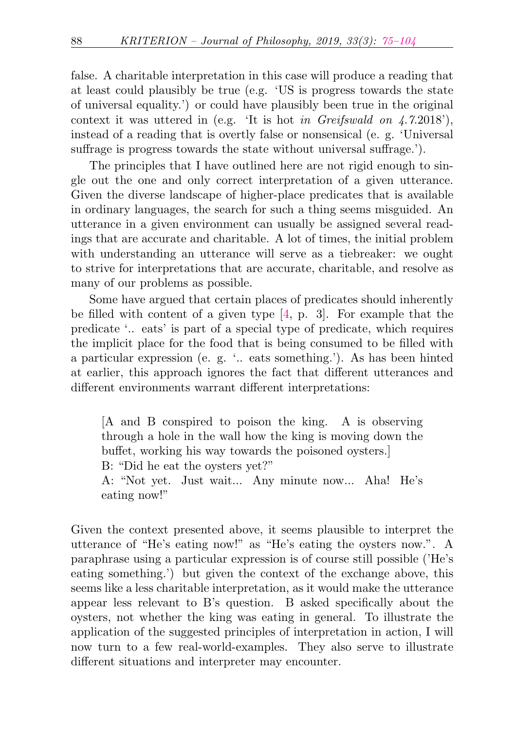false. A charitable interpretation in this case will produce a reading that at least could plausibly be true (e.g. 'US is progress towards the state of universal equality.') or could have plausibly been true in the original context it was uttered in (e.g. 'It is hot in Greifswald on  $\angle 4.7.2018'$ ), instead of a reading that is overtly false or nonsensical (e. g. 'Universal suffrage is progress towards the state without universal suffrage.').

The principles that I have outlined here are not rigid enough to single out the one and only correct interpretation of a given utterance. Given the diverse landscape of higher-place predicates that is available in ordinary languages, the search for such a thing seems misguided. An utterance in a given environment can usually be assigned several readings that are accurate and charitable. A lot of times, the initial problem with understanding an utterance will serve as a tiebreaker: we ought to strive for interpretations that are accurate, charitable, and resolve as many of our problems as possible.

Some have argued that certain places of predicates should inherently be filled with content of a given type [\[4,](#page-27-2) p. 3]. For example that the predicate '.. eats' is part of a special type of predicate, which requires the implicit place for the food that is being consumed to be filled with a particular expression (e. g. '.. eats something.'). As has been hinted at earlier, this approach ignores the fact that different utterances and different environments warrant different interpretations:

[A and B conspired to poison the king. A is observing through a hole in the wall how the king is moving down the buffet, working his way towards the poisoned oysters.] B: "Did he eat the oysters yet?"

A: "Not yet. Just wait... Any minute now... Aha! He's eating now!"

Given the context presented above, it seems plausible to interpret the utterance of "He's eating now!" as "He's eating the oysters now.". A paraphrase using a particular expression is of course still possible ('He's eating something.') but given the context of the exchange above, this seems like a less charitable interpretation, as it would make the utterance appear less relevant to B's question. B asked specifically about the oysters, not whether the king was eating in general. To illustrate the application of the suggested principles of interpretation in action, I will now turn to a few real-world-examples. They also serve to illustrate different situations and interpreter may encounter.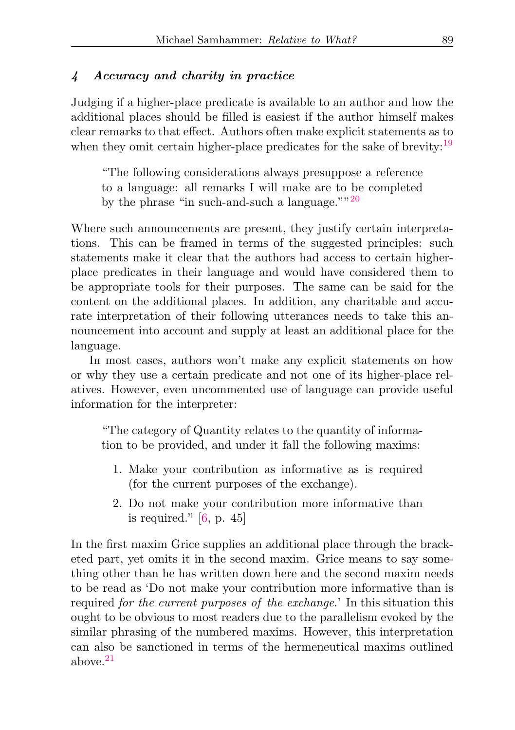#### <span id="page-14-0"></span>4 Accuracy and charity in practice

Judging if a higher-place predicate is available to an author and how the additional places should be filled is easiest if the author himself makes clear remarks to that effect. Authors often make explicit statements as to when they omit certain higher-place predicates for the sake of brevity:<sup>[19](#page-25-9)</sup>

<span id="page-14-2"></span><span id="page-14-1"></span>"The following considerations always presuppose a reference to a language: all remarks I will make are to be completed by the phrase "in such-and-such a language." $120$  $120$ 

Where such announcements are present, they justify certain interpretations. This can be framed in terms of the suggested principles: such statements make it clear that the authors had access to certain higherplace predicates in their language and would have considered them to be appropriate tools for their purposes. The same can be said for the content on the additional places. In addition, any charitable and accurate interpretation of their following utterances needs to take this announcement into account and supply at least an additional place for the language.

In most cases, authors won't make any explicit statements on how or why they use a certain predicate and not one of its higher-place relatives. However, even uncommented use of language can provide useful information for the interpreter:

"The category of Quantity relates to the quantity of information to be provided, and under it fall the following maxims:

- 1. Make your contribution as informative as is required (for the current purposes of the exchange).
- 2. Do not make your contribution more informative than is required."  $[6, p. 45]$  $[6, p. 45]$

<span id="page-14-3"></span>In the first maxim Grice supplies an additional place through the bracketed part, yet omits it in the second maxim. Grice means to say something other than he has written down here and the second maxim needs to be read as 'Do not make your contribution more informative than is required for the current purposes of the exchange.' In this situation this ought to be obvious to most readers due to the parallelism evoked by the similar phrasing of the numbered maxims. However, this interpretation can also be sanctioned in terms of the hermeneutical maxims outlined above.[21](#page-26-2)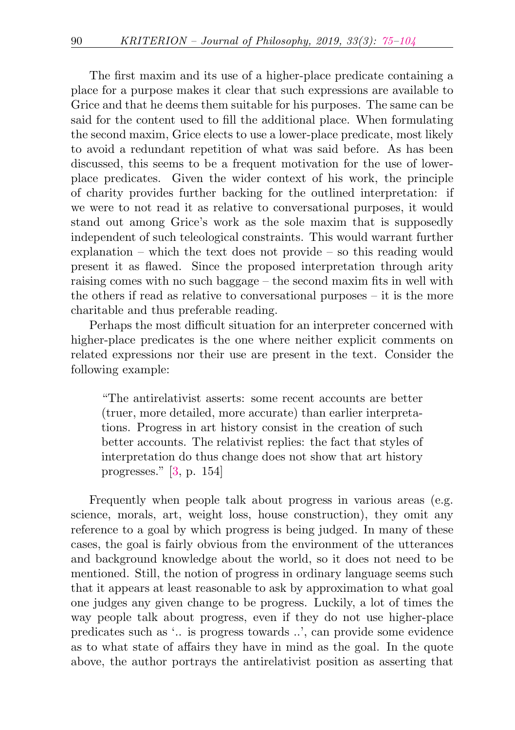The first maxim and its use of a higher-place predicate containing a place for a purpose makes it clear that such expressions are available to Grice and that he deems them suitable for his purposes. The same can be said for the content used to fill the additional place. When formulating the second maxim, Grice elects to use a lower-place predicate, most likely to avoid a redundant repetition of what was said before. As has been discussed, this seems to be a frequent motivation for the use of lowerplace predicates. Given the wider context of his work, the principle of charity provides further backing for the outlined interpretation: if we were to not read it as relative to conversational purposes, it would stand out among Grice's work as the sole maxim that is supposedly independent of such teleological constraints. This would warrant further explanation – which the text does not provide – so this reading would present it as flawed. Since the proposed interpretation through arity raising comes with no such baggage – the second maxim fits in well with the others if read as relative to conversational purposes – it is the more charitable and thus preferable reading.

Perhaps the most difficult situation for an interpreter concerned with higher-place predicates is the one where neither explicit comments on related expressions nor their use are present in the text. Consider the following example:

"The antirelativist asserts: some recent accounts are better (truer, more detailed, more accurate) than earlier interpretations. Progress in art history consist in the creation of such better accounts. The relativist replies: the fact that styles of interpretation do thus change does not show that art history progresses." [\[3,](#page-27-4) p. 154]

Frequently when people talk about progress in various areas (e.g. science, morals, art, weight loss, house construction), they omit any reference to a goal by which progress is being judged. In many of these cases, the goal is fairly obvious from the environment of the utterances and background knowledge about the world, so it does not need to be mentioned. Still, the notion of progress in ordinary language seems such that it appears at least reasonable to ask by approximation to what goal one judges any given change to be progress. Luckily, a lot of times the way people talk about progress, even if they do not use higher-place predicates such as '.. is progress towards ..', can provide some evidence as to what state of affairs they have in mind as the goal. In the quote above, the author portrays the antirelativist position as asserting that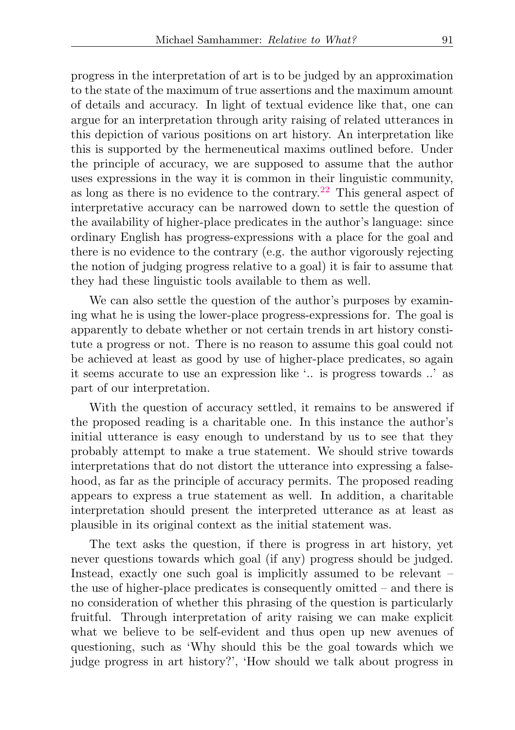<span id="page-16-0"></span>progress in the interpretation of art is to be judged by an approximation to the state of the maximum of true assertions and the maximum amount of details and accuracy. In light of textual evidence like that, one can argue for an interpretation through arity raising of related utterances in this depiction of various positions on art history. An interpretation like this is supported by the hermeneutical maxims outlined before. Under the principle of accuracy, we are supposed to assume that the author uses expressions in the way it is common in their linguistic community, as long as there is no evidence to the contrary.<sup>[22](#page-26-3)</sup> This general aspect of interpretative accuracy can be narrowed down to settle the question of the availability of higher-place predicates in the author's language: since ordinary English has progress-expressions with a place for the goal and there is no evidence to the contrary (e.g. the author vigorously rejecting the notion of judging progress relative to a goal) it is fair to assume that they had these linguistic tools available to them as well.

We can also settle the question of the author's purposes by examining what he is using the lower-place progress-expressions for. The goal is apparently to debate whether or not certain trends in art history constitute a progress or not. There is no reason to assume this goal could not be achieved at least as good by use of higher-place predicates, so again it seems accurate to use an expression like '.. is progress towards ..' as part of our interpretation.

With the question of accuracy settled, it remains to be answered if the proposed reading is a charitable one. In this instance the author's initial utterance is easy enough to understand by us to see that they probably attempt to make a true statement. We should strive towards interpretations that do not distort the utterance into expressing a falsehood, as far as the principle of accuracy permits. The proposed reading appears to express a true statement as well. In addition, a charitable interpretation should present the interpreted utterance as at least as plausible in its original context as the initial statement was.

The text asks the question, if there is progress in art history, yet never questions towards which goal (if any) progress should be judged. Instead, exactly one such goal is implicitly assumed to be relevant – the use of higher-place predicates is consequently omitted – and there is no consideration of whether this phrasing of the question is particularly fruitful. Through interpretation of arity raising we can make explicit what we believe to be self-evident and thus open up new avenues of questioning, such as 'Why should this be the goal towards which we judge progress in art history?', 'How should we talk about progress in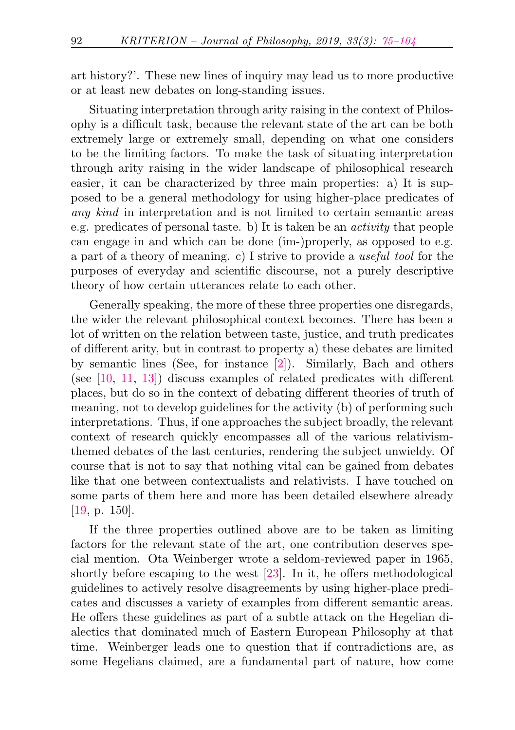art history?'. These new lines of inquiry may lead us to more productive or at least new debates on long-standing issues.

Situating interpretation through arity raising in the context of Philosophy is a difficult task, because the relevant state of the art can be both extremely large or extremely small, depending on what one considers to be the limiting factors. To make the task of situating interpretation through arity raising in the wider landscape of philosophical research easier, it can be characterized by three main properties: a) It is supposed to be a general methodology for using higher-place predicates of any kind in interpretation and is not limited to certain semantic areas e.g. predicates of personal taste. b) It is taken be an activity that people can engage in and which can be done (im-)properly, as opposed to e.g. a part of a theory of meaning. c) I strive to provide a useful tool for the purposes of everyday and scientific discourse, not a purely descriptive theory of how certain utterances relate to each other.

Generally speaking, the more of these three properties one disregards, the wider the relevant philosophical context becomes. There has been a lot of written on the relation between taste, justice, and truth predicates of different arity, but in contrast to property a) these debates are limited by semantic lines (See, for instance [\[2\]](#page-27-5)). Similarly, Bach and others (see [\[10,](#page-27-6) [11,](#page-27-7) [13\]](#page-27-8)) discuss examples of related predicates with different places, but do so in the context of debating different theories of truth of meaning, not to develop guidelines for the activity (b) of performing such interpretations. Thus, if one approaches the subject broadly, the relevant context of research quickly encompasses all of the various relativismthemed debates of the last centuries, rendering the subject unwieldy. Of course that is not to say that nothing vital can be gained from debates like that one between contextualists and relativists. I have touched on some parts of them here and more has been detailed elsewhere already [\[19,](#page-28-1) p. 150].

If the three properties outlined above are to be taken as limiting factors for the relevant state of the art, one contribution deserves special mention. Ota Weinberger wrote a seldom-reviewed paper in 1965, shortly before escaping to the west [\[23\]](#page-28-2). In it, he offers methodological guidelines to actively resolve disagreements by using higher-place predicates and discusses a variety of examples from different semantic areas. He offers these guidelines as part of a subtle attack on the Hegelian dialectics that dominated much of Eastern European Philosophy at that time. Weinberger leads one to question that if contradictions are, as some Hegelians claimed, are a fundamental part of nature, how come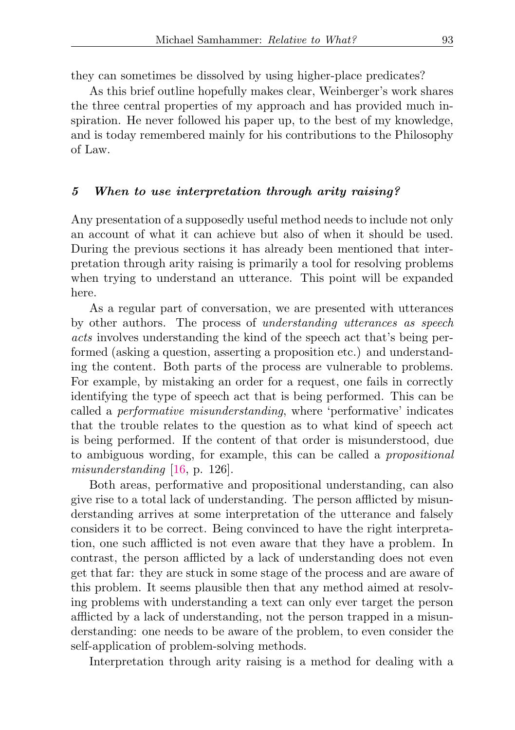they can sometimes be dissolved by using higher-place predicates?

As this brief outline hopefully makes clear, Weinberger's work shares the three central properties of my approach and has provided much inspiration. He never followed his paper up, to the best of my knowledge, and is today remembered mainly for his contributions to the Philosophy of Law.

#### <span id="page-18-0"></span>5 When to use interpretation through arity raising?

Any presentation of a supposedly useful method needs to include not only an account of what it can achieve but also of when it should be used. During the previous sections it has already been mentioned that interpretation through arity raising is primarily a tool for resolving problems when trying to understand an utterance. This point will be expanded here.

As a regular part of conversation, we are presented with utterances by other authors. The process of understanding utterances as speech acts involves understanding the kind of the speech act that's being performed (asking a question, asserting a proposition etc.) and understanding the content. Both parts of the process are vulnerable to problems. For example, by mistaking an order for a request, one fails in correctly identifying the type of speech act that is being performed. This can be called a performative misunderstanding, where 'performative' indicates that the trouble relates to the question as to what kind of speech act is being performed. If the content of that order is misunderstood, due to ambiguous wording, for example, this can be called a propositional misunderstanding [\[16,](#page-28-3) p. 126].

Both areas, performative and propositional understanding, can also give rise to a total lack of understanding. The person afflicted by misunderstanding arrives at some interpretation of the utterance and falsely considers it to be correct. Being convinced to have the right interpretation, one such afflicted is not even aware that they have a problem. In contrast, the person afflicted by a lack of understanding does not even get that far: they are stuck in some stage of the process and are aware of this problem. It seems plausible then that any method aimed at resolving problems with understanding a text can only ever target the person afflicted by a lack of understanding, not the person trapped in a misunderstanding: one needs to be aware of the problem, to even consider the self-application of problem-solving methods.

Interpretation through arity raising is a method for dealing with a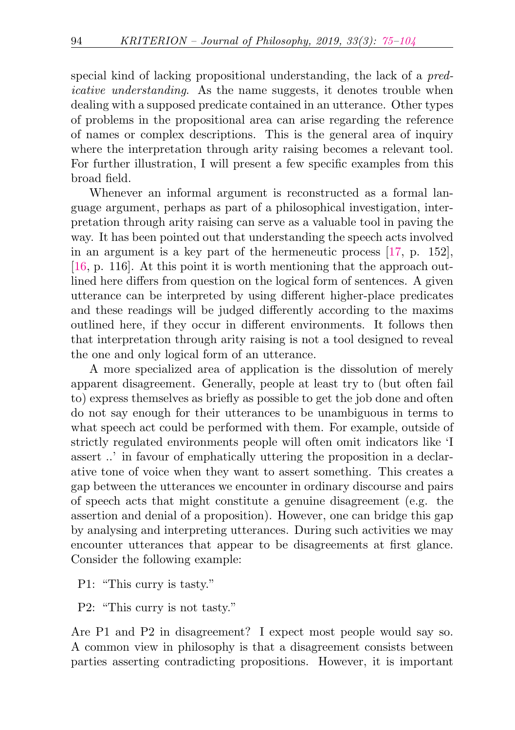special kind of lacking propositional understanding, the lack of a predicative understanding. As the name suggests, it denotes trouble when dealing with a supposed predicate contained in an utterance. Other types of problems in the propositional area can arise regarding the reference of names or complex descriptions. This is the general area of inquiry where the interpretation through arity raising becomes a relevant tool. For further illustration, I will present a few specific examples from this broad field.

Whenever an informal argument is reconstructed as a formal language argument, perhaps as part of a philosophical investigation, interpretation through arity raising can serve as a valuable tool in paving the way. It has been pointed out that understanding the speech acts involved in an argument is a key part of the hermeneutic process [\[17,](#page-28-0) p. 152], [\[16,](#page-28-3) p. 116]. At this point it is worth mentioning that the approach outlined here differs from question on the logical form of sentences. A given utterance can be interpreted by using different higher-place predicates and these readings will be judged differently according to the maxims outlined here, if they occur in different environments. It follows then that interpretation through arity raising is not a tool designed to reveal the one and only logical form of an utterance.

A more specialized area of application is the dissolution of merely apparent disagreement. Generally, people at least try to (but often fail to) express themselves as briefly as possible to get the job done and often do not say enough for their utterances to be unambiguous in terms to what speech act could be performed with them. For example, outside of strictly regulated environments people will often omit indicators like 'I assert ..' in favour of emphatically uttering the proposition in a declarative tone of voice when they want to assert something. This creates a gap between the utterances we encounter in ordinary discourse and pairs of speech acts that might constitute a genuine disagreement (e.g. the assertion and denial of a proposition). However, one can bridge this gap by analysing and interpreting utterances. During such activities we may encounter utterances that appear to be disagreements at first glance. Consider the following example:

P1: "This curry is tasty."

P2: "This curry is not tasty."

Are P1 and P2 in disagreement? I expect most people would say so. A common view in philosophy is that a disagreement consists between parties asserting contradicting propositions. However, it is important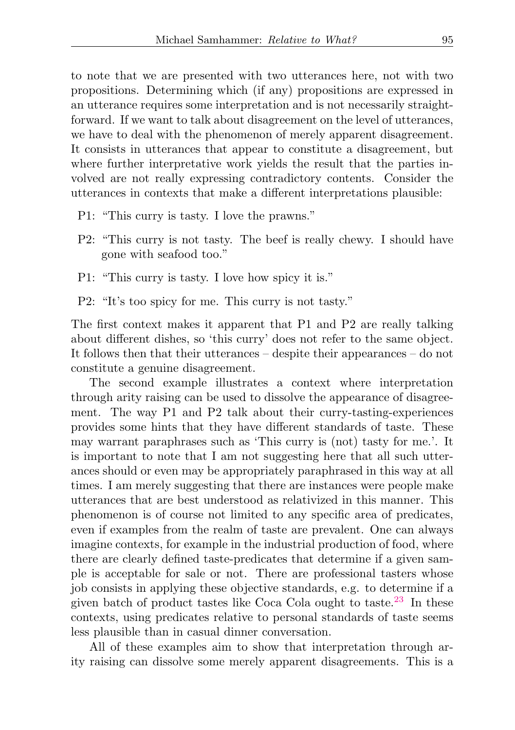to note that we are presented with two utterances here, not with two propositions. Determining which (if any) propositions are expressed in an utterance requires some interpretation and is not necessarily straightforward. If we want to talk about disagreement on the level of utterances, we have to deal with the phenomenon of merely apparent disagreement. It consists in utterances that appear to constitute a disagreement, but where further interpretative work yields the result that the parties involved are not really expressing contradictory contents. Consider the utterances in contexts that make a different interpretations plausible:

- P1: "This curry is tasty. I love the prawns."
- P2: "This curry is not tasty. The beef is really chewy. I should have gone with seafood too."
- P1: "This curry is tasty. I love how spicy it is."
- P2: "It's too spicy for me. This curry is not tasty."

The first context makes it apparent that P1 and P2 are really talking about different dishes, so 'this curry' does not refer to the same object. It follows then that their utterances – despite their appearances – do not constitute a genuine disagreement.

The second example illustrates a context where interpretation through arity raising can be used to dissolve the appearance of disagreement. The way P1 and P2 talk about their curry-tasting-experiences provides some hints that they have different standards of taste. These may warrant paraphrases such as 'This curry is (not) tasty for me.'. It is important to note that I am not suggesting here that all such utterances should or even may be appropriately paraphrased in this way at all times. I am merely suggesting that there are instances were people make utterances that are best understood as relativized in this manner. This phenomenon is of course not limited to any specific area of predicates, even if examples from the realm of taste are prevalent. One can always imagine contexts, for example in the industrial production of food, where there are clearly defined taste-predicates that determine if a given sample is acceptable for sale or not. There are professional tasters whose job consists in applying these objective standards, e.g. to determine if a given batch of product tastes like Coca Cola ought to taste.[23](#page-26-4) In these contexts, using predicates relative to personal standards of taste seems less plausible than in casual dinner conversation.

<span id="page-20-0"></span>All of these examples aim to show that interpretation through arity raising can dissolve some merely apparent disagreements. This is a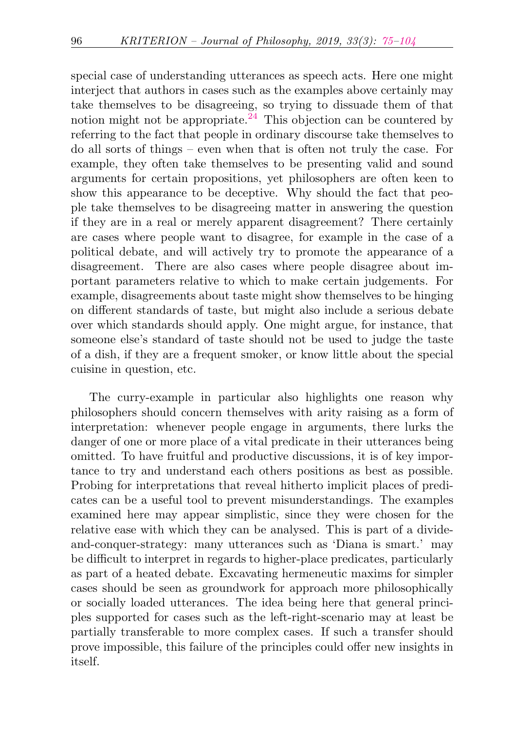<span id="page-21-0"></span>special case of understanding utterances as speech acts. Here one might interject that authors in cases such as the examples above certainly may take themselves to be disagreeing, so trying to dissuade them of that notion might not be appropriate.<sup>[24](#page-26-5)</sup> This objection can be countered by referring to the fact that people in ordinary discourse take themselves to do all sorts of things – even when that is often not truly the case. For example, they often take themselves to be presenting valid and sound arguments for certain propositions, yet philosophers are often keen to show this appearance to be deceptive. Why should the fact that people take themselves to be disagreeing matter in answering the question if they are in a real or merely apparent disagreement? There certainly are cases where people want to disagree, for example in the case of a political debate, and will actively try to promote the appearance of a disagreement. There are also cases where people disagree about important parameters relative to which to make certain judgements. For example, disagreements about taste might show themselves to be hinging on different standards of taste, but might also include a serious debate over which standards should apply. One might argue, for instance, that someone else's standard of taste should not be used to judge the taste of a dish, if they are a frequent smoker, or know little about the special cuisine in question, etc.

The curry-example in particular also highlights one reason why philosophers should concern themselves with arity raising as a form of interpretation: whenever people engage in arguments, there lurks the danger of one or more place of a vital predicate in their utterances being omitted. To have fruitful and productive discussions, it is of key importance to try and understand each others positions as best as possible. Probing for interpretations that reveal hitherto implicit places of predicates can be a useful tool to prevent misunderstandings. The examples examined here may appear simplistic, since they were chosen for the relative ease with which they can be analysed. This is part of a divideand-conquer-strategy: many utterances such as 'Diana is smart.' may be difficult to interpret in regards to higher-place predicates, particularly as part of a heated debate. Excavating hermeneutic maxims for simpler cases should be seen as groundwork for approach more philosophically or socially loaded utterances. The idea being here that general principles supported for cases such as the left-right-scenario may at least be partially transferable to more complex cases. If such a transfer should prove impossible, this failure of the principles could offer new insights in itself.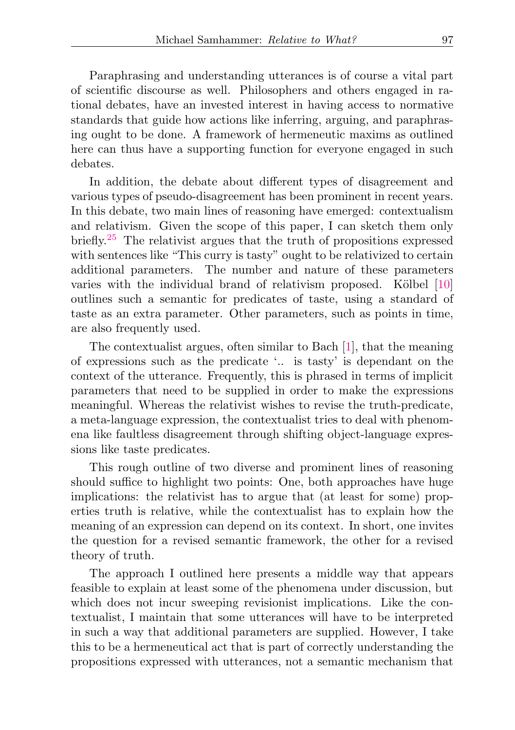Paraphrasing and understanding utterances is of course a vital part of scientific discourse as well. Philosophers and others engaged in rational debates, have an invested interest in having access to normative standards that guide how actions like inferring, arguing, and paraphrasing ought to be done. A framework of hermeneutic maxims as outlined here can thus have a supporting function for everyone engaged in such debates.

<span id="page-22-0"></span>In addition, the debate about different types of disagreement and various types of pseudo-disagreement has been prominent in recent years. In this debate, two main lines of reasoning have emerged: contextualism and relativism. Given the scope of this paper, I can sketch them only briefly.[25](#page-26-6) The relativist argues that the truth of propositions expressed with sentences like "This curry is tasty" ought to be relativized to certain additional parameters. The number and nature of these parameters varies with the individual brand of relativism proposed. Kölbel [\[10\]](#page-27-6) outlines such a semantic for predicates of taste, using a standard of taste as an extra parameter. Other parameters, such as points in time, are also frequently used.

The contextualist argues, often similar to Bach [\[1\]](#page-26-1), that the meaning of expressions such as the predicate '.. is tasty' is dependant on the context of the utterance. Frequently, this is phrased in terms of implicit parameters that need to be supplied in order to make the expressions meaningful. Whereas the relativist wishes to revise the truth-predicate, a meta-language expression, the contextualist tries to deal with phenomena like faultless disagreement through shifting object-language expressions like taste predicates.

This rough outline of two diverse and prominent lines of reasoning should suffice to highlight two points: One, both approaches have huge implications: the relativist has to argue that (at least for some) properties truth is relative, while the contextualist has to explain how the meaning of an expression can depend on its context. In short, one invites the question for a revised semantic framework, the other for a revised theory of truth.

The approach I outlined here presents a middle way that appears feasible to explain at least some of the phenomena under discussion, but which does not incur sweeping revisionist implications. Like the contextualist, I maintain that some utterances will have to be interpreted in such a way that additional parameters are supplied. However, I take this to be a hermeneutical act that is part of correctly understanding the propositions expressed with utterances, not a semantic mechanism that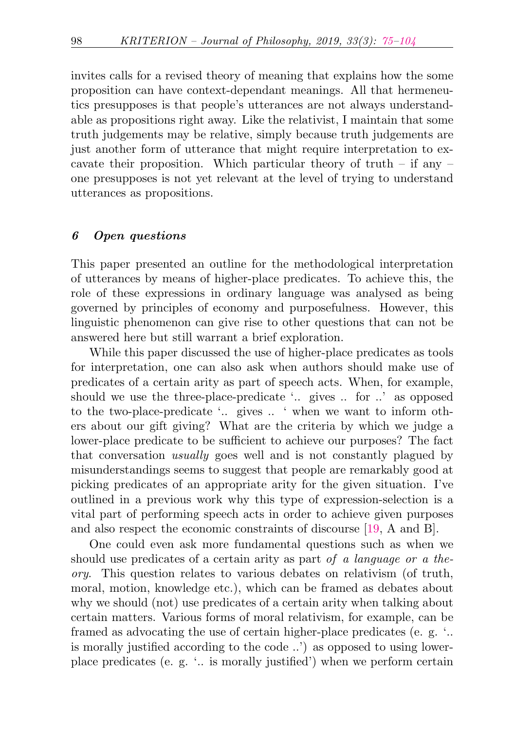invites calls for a revised theory of meaning that explains how the some proposition can have context-dependant meanings. All that hermeneutics presupposes is that people's utterances are not always understandable as propositions right away. Like the relativist, I maintain that some truth judgements may be relative, simply because truth judgements are just another form of utterance that might require interpretation to excavate their proposition. Which particular theory of truth – if any – one presupposes is not yet relevant at the level of trying to understand utterances as propositions.

#### 6 Open questions

This paper presented an outline for the methodological interpretation of utterances by means of higher-place predicates. To achieve this, the role of these expressions in ordinary language was analysed as being governed by principles of economy and purposefulness. However, this linguistic phenomenon can give rise to other questions that can not be answered here but still warrant a brief exploration.

While this paper discussed the use of higher-place predicates as tools for interpretation, one can also ask when authors should make use of predicates of a certain arity as part of speech acts. When, for example, should we use the three-place-predicate '.. gives .. for ..' as opposed to the two-place-predicate '.. gives .. ' when we want to inform others about our gift giving? What are the criteria by which we judge a lower-place predicate to be sufficient to achieve our purposes? The fact that conversation usually goes well and is not constantly plagued by misunderstandings seems to suggest that people are remarkably good at picking predicates of an appropriate arity for the given situation. I've outlined in a previous work why this type of expression-selection is a vital part of performing speech acts in order to achieve given purposes and also respect the economic constraints of discourse [\[19,](#page-28-1) A and B].

One could even ask more fundamental questions such as when we should use predicates of a certain arity as part of a language or a theory. This question relates to various debates on relativism (of truth, moral, motion, knowledge etc.), which can be framed as debates about why we should (not) use predicates of a certain arity when talking about certain matters. Various forms of moral relativism, for example, can be framed as advocating the use of certain higher-place predicates (e. g. '.. is morally justified according to the code ..') as opposed to using lowerplace predicates (e. g. '.. is morally justified') when we perform certain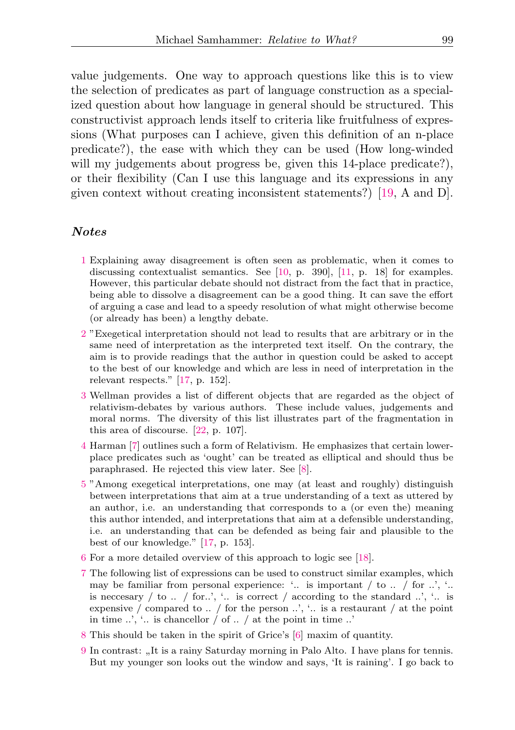value judgements. One way to approach questions like this is to view the selection of predicates as part of language construction as a specialized question about how language in general should be structured. This constructivist approach lends itself to criteria like fruitfulness of expressions (What purposes can I achieve, given this definition of an n-place predicate?), the ease with which they can be used (How long-winded will my judgements about progress be, given this 14-place predicate?). or their flexibility (Can I use this language and its expressions in any given context without creating inconsistent statements?) [\[19,](#page-28-1) A and D].

#### Notes

- <span id="page-24-0"></span>[1](#page-1-0) Explaining away disagreement is often seen as problematic, when it comes to discussing contextualist semantics. See [\[10,](#page-27-6) p. 390], [\[11,](#page-27-7) p. 18] for examples. However, this particular debate should not distract from the fact that in practice, being able to dissolve a disagreement can be a good thing. It can save the effort of arguing a case and lead to a speedy resolution of what might otherwise become (or already has been) a lengthy debate.
- <span id="page-24-1"></span>[2](#page-1-1) "Exegetical interpretation should not lead to results that are arbitrary or in the same need of interpretation as the interpreted text itself. On the contrary, the aim is to provide readings that the author in question could be asked to accept to the best of our knowledge and which are less in need of interpretation in the relevant respects." [\[17,](#page-28-0) p. 152].
- <span id="page-24-2"></span>[3](#page-1-2) Wellman provides a list of different objects that are regarded as the object of relativism-debates by various authors. These include values, judgements and moral norms. The diversity of this list illustrates part of the fragmentation in this area of discourse. [\[22,](#page-28-4) p. 107].
- <span id="page-24-3"></span>[4](#page-2-0) Harman [\[7\]](#page-27-9) outlines such a form of Relativism. He emphasizes that certain lowerplace predicates such as 'ought' can be treated as elliptical and should thus be paraphrased. He rejected this view later. See [\[8\]](#page-27-10).
- <span id="page-24-4"></span>[5](#page-2-1) "Among exegetical interpretations, one may (at least and roughly) distinguish between interpretations that aim at a true understanding of a text as uttered by an author, i.e. an understanding that corresponds to a (or even the) meaning this author intended, and interpretations that aim at a defensible understanding, i.e. an understanding that can be defended as being fair and plausible to the best of our knowledge." [\[17,](#page-28-0) p. 153].
- <span id="page-24-5"></span>[6](#page-2-2) For a more detailed overview of this approach to logic see [\[18\]](#page-28-5).
- <span id="page-24-6"></span>[7](#page-2-3) The following list of expressions can be used to construct similar examples, which may be familiar from personal experience: '.. is important  $/$  to  $.$   $/$  for  $.$ ', '.. is neccesary  $/$  to  $.$   $/$  for..',  $\cdot$  is correct  $/$  according to the standard  $.$ ',  $\cdot$  is expensive / compared to .. / for the person ..', '.. is a restaurant / at the point in time  $\ldots$ ,  $\ldots$  is chancellor / of  $\ldots$  / at the point in time  $\ldots$
- <span id="page-24-7"></span>[8](#page-5-0) This should be taken in the spirit of Grice's [\[6\]](#page-27-3) maxim of quantity.
- <span id="page-24-8"></span>[9](#page-7-0) In contrast: " It is a rainy Saturday morning in Palo Alto. I have plans for tennis. But my younger son looks out the window and says, 'It is raining'. I go back to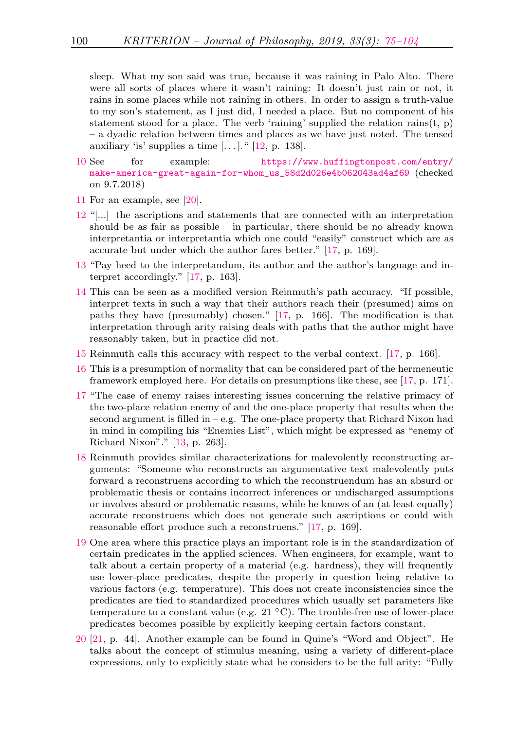sleep. What my son said was true, because it was raining in Palo Alto. There were all sorts of places where it wasn't raining: It doesn't just rain or not, it rains in some places while not raining in others. In order to assign a truth-value to my son's statement, as I just did, I needed a place. But no component of his statement stood for a place. The verb 'raining' supplied the relation rains $(t, p)$ – a dyadic relation between times and places as we have just noted. The tensed auxiliary 'is' supplies a time  $[\dots]$ ." [\[12,](#page-27-11) p. 138].

- <span id="page-25-0"></span>[10](#page-8-0) See for example: [https://www.huffingtonpost.com/entry/](https://www.huffingtonpost.com/entry/make-america-great-again-for-whom_us_58d2d026e4b062043ad4af69) [make-america-great-again-for-whom\\_us\\_58d2d026e4b062043ad4af69](https://www.huffingtonpost.com/entry/make-america-great-again-for-whom_us_58d2d026e4b062043ad4af69) (checked on 9.7.2018)
- <span id="page-25-1"></span>[11](#page-8-1) For an example, see [\[20\]](#page-28-6).
- <span id="page-25-2"></span>[12](#page-9-0) "[...] the ascriptions and statements that are connected with an interpretation should be as fair as possible – in particular, there should be no already known interpretantia or interpretantia which one could "easily" construct which are as accurate but under which the author fares better." [\[17,](#page-28-0) p. 169].
- <span id="page-25-3"></span>[13](#page-9-1) "Pay heed to the interpretandum, its author and the author's language and interpret accordingly." [\[17,](#page-28-0) p. 163].
- <span id="page-25-4"></span>[14](#page-10-0) This can be seen as a modified version Reinmuth's path accuracy. "If possible, interpret texts in such a way that their authors reach their (presumed) aims on paths they have (presumably) chosen." [\[17,](#page-28-0) p. 166]. The modification is that interpretation through arity raising deals with paths that the author might have reasonably taken, but in practice did not.
- <span id="page-25-5"></span>[15](#page-11-0) Reinmuth calls this accuracy with respect to the verbal context. [\[17,](#page-28-0) p. 166].
- <span id="page-25-6"></span>[16](#page-11-1) This is a presumption of normality that can be considered part of the hermeneutic framework employed here. For details on presumptions like these, see [\[17,](#page-28-0) p. 171].
- <span id="page-25-7"></span>[17](#page-12-0) "The case of enemy raises interesting issues concerning the relative primacy of the two-place relation enemy of and the one-place property that results when the second argument is filled in – e.g. The one-place property that Richard Nixon had in mind in compiling his "Enemies List", which might be expressed as "enemy of Richard Nixon"." [\[13,](#page-27-8) p. 263].
- <span id="page-25-8"></span>[18](#page-12-1) Reinmuth provides similar characterizations for malevolently reconstructing arguments: "Someone who reconstructs an argumentative text malevolently puts forward a reconstruens according to which the reconstruendum has an absurd or problematic thesis or contains incorrect inferences or undischarged assumptions or involves absurd or problematic reasons, while he knows of an (at least equally) accurate reconstruens which does not generate such ascriptions or could with reasonable effort produce such a reconstruens." [\[17,](#page-28-0) p. 169].
- <span id="page-25-9"></span>[19](#page-14-1) One area where this practice plays an important role is in the standardization of certain predicates in the applied sciences. When engineers, for example, want to talk about a certain property of a material (e.g. hardness), they will frequently use lower-place predicates, despite the property in question being relative to various factors (e.g. temperature). This does not create inconsistencies since the predicates are tied to standardized procedures which usually set parameters like temperature to a constant value (e.g. 21  $\degree$ C). The trouble-free use of lower-place predicates becomes possible by explicitly keeping certain factors constant.
- <span id="page-25-10"></span>[20](#page-14-2) [\[21,](#page-28-7) p. 44]. Another example can be found in Quine's "Word and Object". He talks about the concept of stimulus meaning, using a variety of different-place expressions, only to explicitly state what he considers to be the full arity: "Fully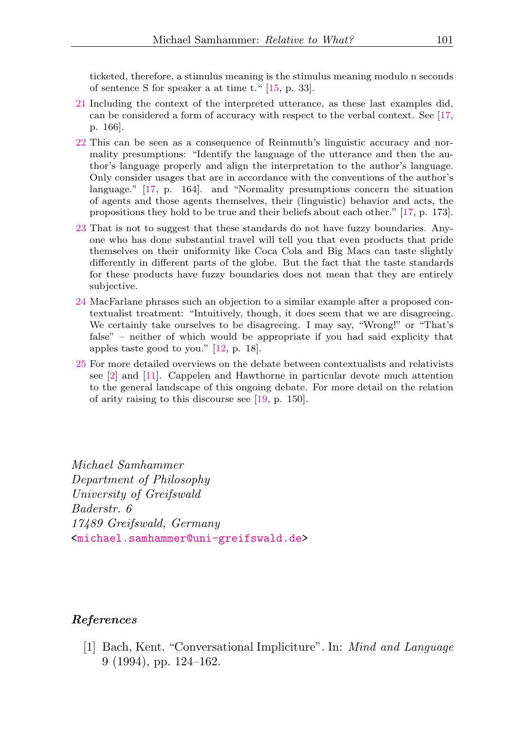ticketed, therefore, a stimulus meaning is the stimulus meaning modulo n seconds of sentence S for speaker a at time t." [\[15,](#page-28-8) p. 33].

- <span id="page-26-2"></span>[21](#page-14-3) Including the context of the interpreted utterance, as these last examples did, can be considered a form of accuracy with respect to the verbal context. See [\[17,](#page-28-0) p. 166].
- <span id="page-26-3"></span>[22](#page-16-0) This can be seen as a consequence of Reinmuth's linguistic accuracy and normality presumptions: "Identify the language of the utterance and then the author's language properly and align the interpretation to the author's language. Only consider usages that are in accordance with the conventions of the author's language." [\[17,](#page-28-0) p. 164]. and "Normality presumptions concern the situation of agents and those agents themselves, their (linguistic) behavior and acts, the propositions they hold to be true and their beliefs about each other." [\[17,](#page-28-0) p. 173].
- <span id="page-26-4"></span>[23](#page-20-0) That is not to suggest that these standards do not have fuzzy boundaries. Anyone who has done substantial travel will tell you that even products that pride themselves on their uniformity like Coca Cola and Big Macs can taste slightly differently in different parts of the globe. But the fact that the taste standards for these products have fuzzy boundaries does not mean that they are entirely subjective.
- <span id="page-26-5"></span>[24](#page-21-0) MacFarlane phrases such an objection to a similar example after a proposed contextualist treatment: "Intuitively, though, it does seem that we are disagreeing. We certainly take ourselves to be disagreeing. I may say, "Wrong!" or "That's false" – neither of which would be appropriate if you had said explicity that apples taste good to you." [\[12,](#page-27-11) p. 18].
- <span id="page-26-6"></span>[25](#page-22-0) For more detailed overviews on the debate between contextualists and relativists see [\[2\]](#page-27-5) and [\[11\]](#page-27-7). Cappelen and Hawthorne in particular devote much attention to the general landscape of this ongoing debate. For more detail on the relation of arity raising to this discourse see [\[19,](#page-28-1) p. 150].

Michael Samhammer Department of Philosophy University of Greifswald Baderstr. 6 17489 Greifswald, Germany [<michael.samhammer@uni-greifswald.de>](mailto:michael.samhammer@uni-greifswald.de)

#### <span id="page-26-0"></span>References

<span id="page-26-1"></span>[1] Bach, Kent. "Conversational Impliciture". In: Mind and Language 9 (1994), pp. 124–162.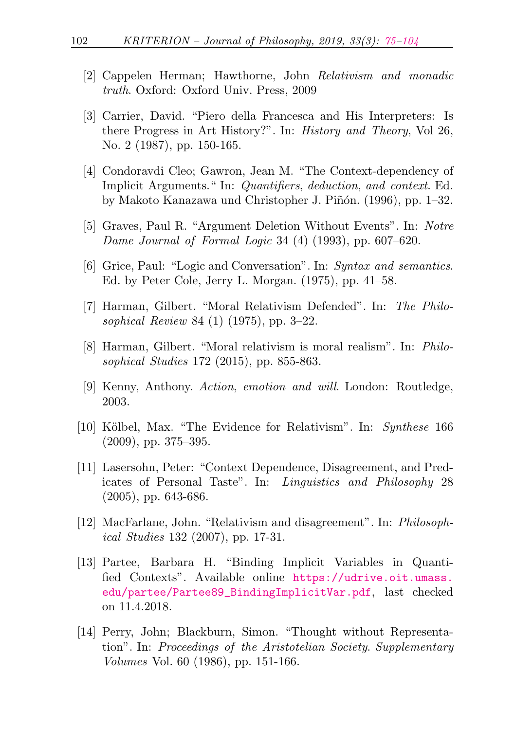- <span id="page-27-5"></span>[2] Cappelen Herman; Hawthorne, John Relativism and monadic truth. Oxford: Oxford Univ. Press, 2009
- <span id="page-27-4"></span>[3] Carrier, David. "Piero della Francesca and His Interpreters: Is there Progress in Art History?". In: History and Theory, Vol 26, No. 2 (1987), pp. 150-165.
- <span id="page-27-2"></span>[4] Condoravdi Cleo; Gawron, Jean M. "The Context-dependency of Implicit Arguments." In: Quantifiers, deduction, and context. Ed. by Makoto Kanazawa und Christopher J. Piñón. (1996), pp. 1–32.
- <span id="page-27-0"></span>[5] Graves, Paul R. "Argument Deletion Without Events". In: Notre *Dame Journal of Formal Logic* 34 (4) (1993), pp.  $607-620$ .
- <span id="page-27-3"></span>[6] Grice, Paul: "Logic and Conversation". In: Syntax and semantics. Ed. by Peter Cole, Jerry L. Morgan. (1975), pp. 41–58.
- <span id="page-27-9"></span>[7] Harman, Gilbert. "Moral Relativism Defended". In: The Philosophical Review 84 (1) (1975), pp. 3–22.
- <span id="page-27-10"></span>[8] Harman, Gilbert. "Moral relativism is moral realism". In: Philosophical Studies 172 (2015), pp. 855-863.
- <span id="page-27-1"></span>[9] Kenny, Anthony. Action, emotion and will. London: Routledge, 2003.
- <span id="page-27-6"></span>[10] Kölbel, Max. "The Evidence for Relativism". In: Synthese 166 (2009), pp. 375–395.
- <span id="page-27-7"></span>[11] Lasersohn, Peter: "Context Dependence, Disagreement, and Predicates of Personal Taste". In: Linguistics and Philosophy 28 (2005), pp. 643-686.
- <span id="page-27-11"></span>[12] MacFarlane, John. "Relativism and disagreement". In: Philosophical Studies 132 (2007), pp. 17-31.
- <span id="page-27-8"></span>[13] Partee, Barbara H. "Binding Implicit Variables in Quantified Contexts". Available online [https://udrive.oit.umass.](https://udrive.oit.umass.edu/partee/Partee89_BindingImplicitVar.pdf) [edu/partee/Partee89\\_BindingImplicitVar.pdf](https://udrive.oit.umass.edu/partee/Partee89_BindingImplicitVar.pdf), last checked on 11.4.2018.
- [14] Perry, John; Blackburn, Simon. "Thought without Representation". In: Proceedings of the Aristotelian Society. Supplementary Volumes Vol. 60 (1986), pp. 151-166.